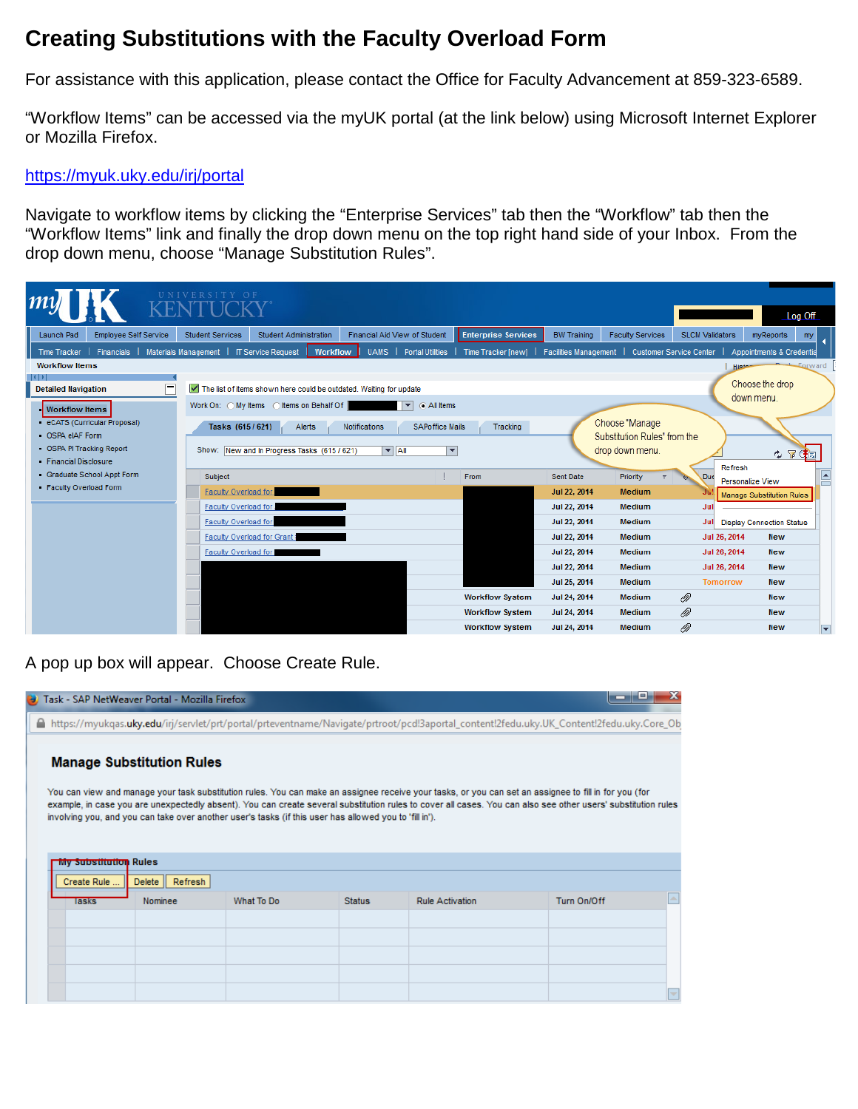## **Creating Substitutions with the Faculty Overload Form**

For assistance with this application, please contact the Office for Faculty Advancement at 859-323-6589.

"Workflow Items" can be accessed via the myUK portal (at the link below) using Microsoft Internet Explorer or Mozilla Firefox.

## <https://myuk.uky.edu/irj/portal>

Navigate to workflow items by clicking the "Enterprise Services" tab then the "Workflow" tab then the "Workflow Items" link and finally the drop down menu on the top right hand side of your Inbox. From the drop down menu, choose "Manage Substitution Rules".

|                                                                                   |                                                                                                                          |                                                                                    |                                                                            |                                              |                                                                            |                                     | Log Off                                                      |
|-----------------------------------------------------------------------------------|--------------------------------------------------------------------------------------------------------------------------|------------------------------------------------------------------------------------|----------------------------------------------------------------------------|----------------------------------------------|----------------------------------------------------------------------------|-------------------------------------|--------------------------------------------------------------|
| <b>Employee Self Service</b><br>Launch Pad<br>Financials  <br><b>Time Tracker</b> | <b>Student Administration</b><br><b>Student Services</b><br>Materials Management   IT Service Request<br><b>Workflow</b> | Financial Aid View of Student<br>Portal Utilities  <br><b>UAMS</b>                 | <b>Enterprise Services</b><br>Time Tracker [new]                           | <b>BW Training</b>                           | <b>Faculty Services</b><br>Facilities Management   Customer Service Center | <b>SLCM Validators</b>              | myReports<br>my<br>Appointments & Credentia                  |
| <b>Workflow Items</b><br>╒<br><b>Detailed Navigation</b>                          | The list of items shown here could be outdated. Waiting for update                                                       |                                                                                    |                                                                            |                                              |                                                                            | <b>Histon</b>                       | <b>Eorward</b><br>Choose the drop                            |
| <b>Workflow Items</b><br>eCATS (Curricular Proposal)<br>OSPA eIAF Form            | Work On: O My Items O Items on Behalf Of<br>Tasks (615/621)<br>Alerts                                                    | a All Items<br>$\vert \mathbf{v} \vert$<br><b>SAPoffice Mails</b><br>Notifications | Tracking                                                                   |                                              | Choose "Manage<br>Substitution Rules" from the                             |                                     | down menu.                                                   |
| OSPA PI Tracking Report<br>Financial Disclosure<br>Graduate School Appt Form      | Show: New and In Progress Tasks (615/621)<br>Subject                                                                     | $\overline{\phantom{a}}$<br>$\blacktriangleright$ All                              | From                                                                       | Sent Date                                    | drop down menu.<br>Priority                                                | Refresh<br><b>Duc</b>               | ゆ 室建園<br>$\blacktriangle$                                    |
| Faculty Overload Form                                                             | Faculty Overload for<br>Faculty Overload for                                                                             |                                                                                    |                                                                            | Jul 22, 2014<br>Jul 22, 2014                 | Medium<br><b>Medium</b>                                                    | Jul                                 | Personalize View<br><b>Manage Substitution Rules</b>         |
|                                                                                   | <b>Faculty Overload for</b><br>Faculty Overload for Grant:<br>Faculty Overload for                                       |                                                                                    |                                                                            | Jul 22, 2014<br>Jul 22, 2014<br>Jul 22, 2014 | <b>Medium</b><br><b>Medium</b><br>Medium                                   | Jul<br>Jul 26, 2014<br>Jul 26, 2014 | <b>Display Connection Status</b><br><b>New</b><br><b>New</b> |
|                                                                                   |                                                                                                                          |                                                                                    |                                                                            | Jul 22, 2014<br>Jul 25, 2014                 | <b>Medium</b><br><b>Medium</b>                                             | Jul 26, 2014<br><b>Tomorrow</b>     | <b>New</b><br><b>New</b>                                     |
|                                                                                   |                                                                                                                          |                                                                                    | <b>Workflow System</b><br><b>Workflow System</b><br><b>Workflow System</b> | Jul 24, 2014<br>Jul 24, 2014<br>Jul 24, 2014 | <b>Medium</b><br>Medium<br><b>Medium</b>                                   | ⋒<br>℗<br>℗                         | <b>New</b><br><b>New</b><br><b>New</b>                       |

A pop up box will appear. Choose Create Rule.

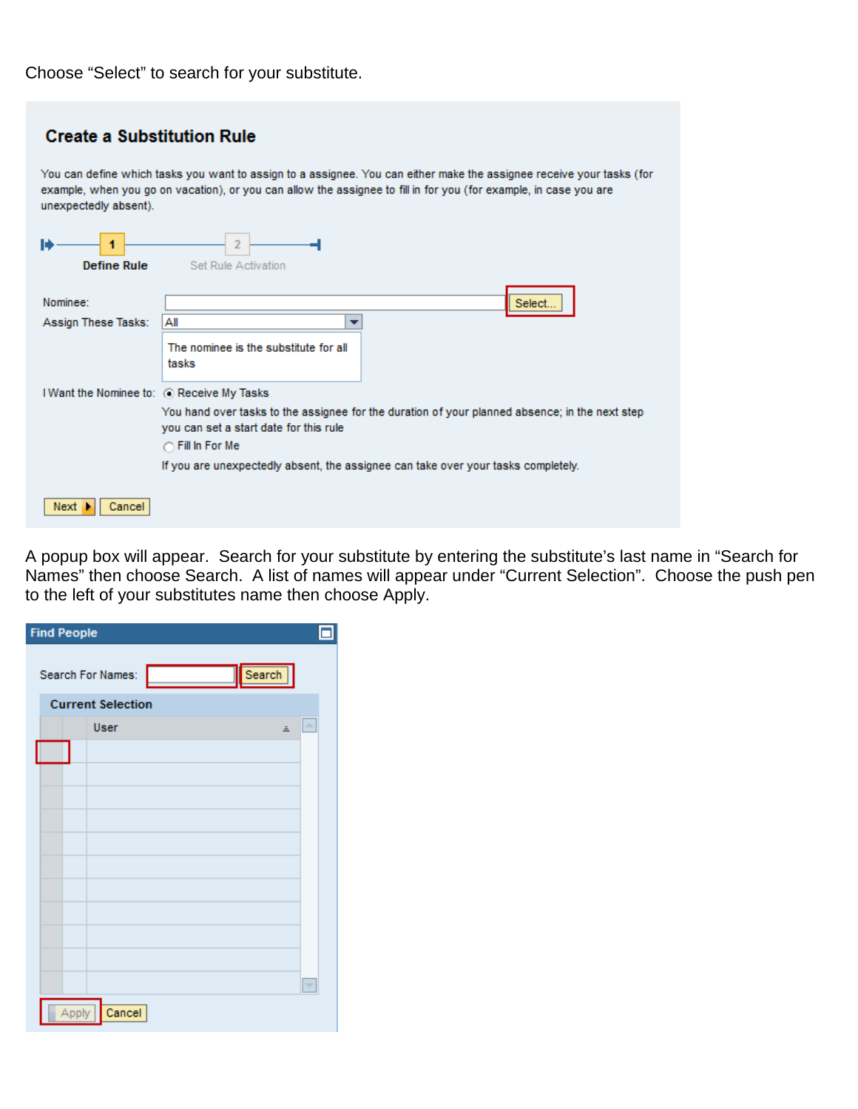Choose "Select" to search for your substitute.

| <b>Create a Substitution Rule</b>                                                                                                                                                                                                                                   |                                                                                   |  |  |  |
|---------------------------------------------------------------------------------------------------------------------------------------------------------------------------------------------------------------------------------------------------------------------|-----------------------------------------------------------------------------------|--|--|--|
| You can define which tasks you want to assign to a assignee. You can either make the assignee receive your tasks (for<br>example, when you go on vacation), or you can allow the assignee to fill in for you (for example, in case you are<br>unexpectedly absent). |                                                                                   |  |  |  |
| <b>Define Rule</b>                                                                                                                                                                                                                                                  | Set Rule Activation                                                               |  |  |  |
| Nominee:                                                                                                                                                                                                                                                            | Select                                                                            |  |  |  |
| Assign These Tasks:                                                                                                                                                                                                                                                 | Αll<br>▼                                                                          |  |  |  |
|                                                                                                                                                                                                                                                                     | The nominee is the substitute for all<br>tasks                                    |  |  |  |
| I Want the Nominee to: @ Receive My Tasks                                                                                                                                                                                                                           |                                                                                   |  |  |  |
| You hand over tasks to the assignee for the duration of your planned absence; in the next step<br>you can set a start date for this rule<br>◯ Fill In For Me                                                                                                        |                                                                                   |  |  |  |
|                                                                                                                                                                                                                                                                     | If you are unexpectedly absent, the assignee can take over your tasks completely. |  |  |  |
|                                                                                                                                                                                                                                                                     |                                                                                   |  |  |  |
| Next<br>Cancel                                                                                                                                                                                                                                                      |                                                                                   |  |  |  |

A popup box will appear. Search for your substitute by entering the substitute's last name in "Search for Names" then choose Search. A list of names will appear under "Current Selection". Choose the push pen to the left of your substitutes name then choose Apply.

| <b>Find People</b>       |       |                   |  |  |        |   |
|--------------------------|-------|-------------------|--|--|--------|---|
|                          |       | Search For Names: |  |  | Search |   |
| <b>Current Selection</b> |       |                   |  |  |        |   |
|                          |       | User              |  |  | Ξ      | A |
|                          |       |                   |  |  |        |   |
|                          |       |                   |  |  |        |   |
|                          |       |                   |  |  |        |   |
|                          |       |                   |  |  |        |   |
|                          |       |                   |  |  |        |   |
|                          |       |                   |  |  |        |   |
|                          |       |                   |  |  |        |   |
|                          |       |                   |  |  |        |   |
|                          |       |                   |  |  |        |   |
|                          |       |                   |  |  |        |   |
|                          |       |                   |  |  |        |   |
|                          |       |                   |  |  |        | ٠ |
|                          | Apply | Cancel            |  |  |        |   |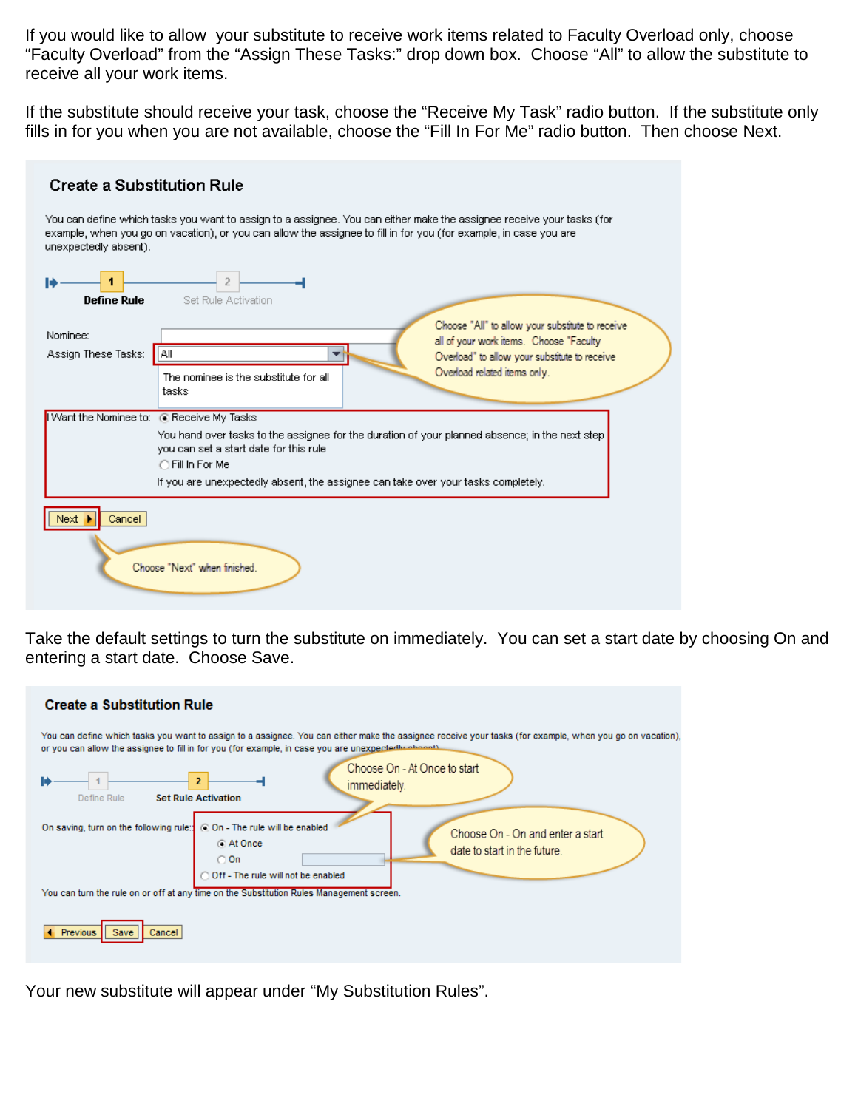If you would like to allow your substitute to receive work items related to Faculty Overload only, choose "Faculty Overload" from the "Assign These Tasks:" drop down box. Choose "All" to allow the substitute to receive all your work items.

If the substitute should receive your task, choose the "Receive My Task" radio button. If the substitute only fills in for you when you are not available, choose the "Fill In For Me" radio button. Then choose Next.

| <b>Create a Substitution Rule</b>                                                                                                                                                                                                                                   |  |  |  |  |  |  |
|---------------------------------------------------------------------------------------------------------------------------------------------------------------------------------------------------------------------------------------------------------------------|--|--|--|--|--|--|
| You can define which tasks you want to assign to a assignee. You can either make the assignee receive your tasks (for<br>example, when you go on vacation), or you can allow the assignee to fill in for you (for example, in case you are<br>unexpectedly absent). |  |  |  |  |  |  |
| Н<br><b>Define Rule</b><br>Set Rule Activation                                                                                                                                                                                                                      |  |  |  |  |  |  |
| Choose "All" to allow your substitute to receive<br>Nominee:                                                                                                                                                                                                        |  |  |  |  |  |  |
| all of your work items. Choose "Faculty"<br>Assign These Tasks:<br>HAII<br>Overload" to allow your substitute to receive                                                                                                                                            |  |  |  |  |  |  |
| Overload related items only.<br>The nominee is the substitute for all<br>tasks                                                                                                                                                                                      |  |  |  |  |  |  |
| I Want the Nominee to: @ Receive My Tasks                                                                                                                                                                                                                           |  |  |  |  |  |  |
| You hand over tasks to the assignee for the duration of your planned absence; in the next step<br>you can set a start date for this rule<br>○ Fill In For Me<br>If you are unexpectedly absent, the assignee can take over your tasks completely.                   |  |  |  |  |  |  |
| Next<br>Cancel<br>Choose "Next" when finished.                                                                                                                                                                                                                      |  |  |  |  |  |  |

Take the default settings to turn the substitute on immediately. You can set a start date by choosing On and entering a start date. Choose Save.

| <b>Create a Substitution Rule</b>                                                                                                                                                                                                                                                                             |  |  |  |  |  |  |
|---------------------------------------------------------------------------------------------------------------------------------------------------------------------------------------------------------------------------------------------------------------------------------------------------------------|--|--|--|--|--|--|
| You can define which tasks you want to assign to a assignee. You can either make the assignee receive your tasks (for example, when you go on vacation),<br>or you can allow the assignee to fill in for you (for example, in case you are unexpectedly obnoot).                                              |  |  |  |  |  |  |
| Choose On - At Once to start<br>immediately.<br><b>Set Rule Activation</b><br>Define Rule                                                                                                                                                                                                                     |  |  |  |  |  |  |
| © On - The rule will be enabled<br>On saving, turn on the following rule:<br>Choose On - On and enter a start<br>a At Once<br>date to start in the future.<br>$\bigcirc$ On<br>Off - The rule will not be enabled<br>You can turn the rule on or off at any time on the Substitution Rules Management screen. |  |  |  |  |  |  |
| Previous<br>Cancel                                                                                                                                                                                                                                                                                            |  |  |  |  |  |  |

Your new substitute will appear under "My Substitution Rules".